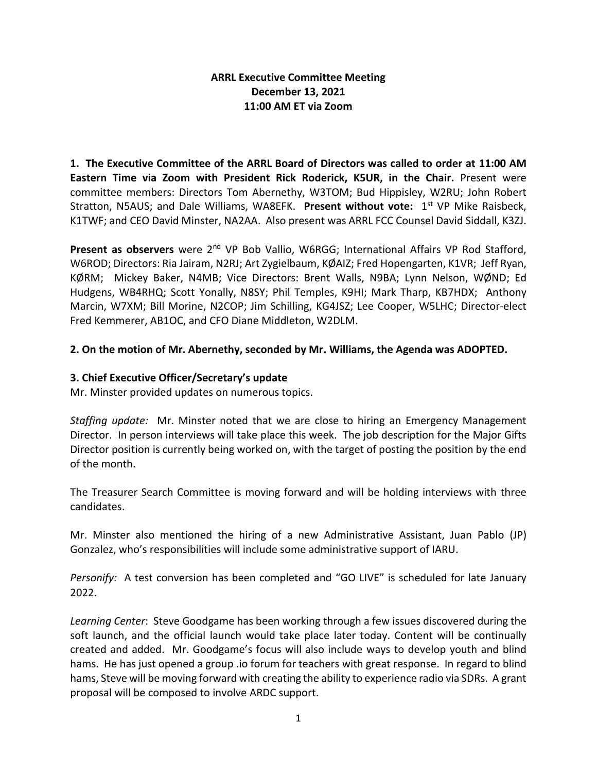## **ARRL Executive Committee Meeting December 13, 2021 11:00 AM ET via Zoom**

**1. The Executive Committee of the ARRL Board of Directors was called to order at 11:00 AM Eastern Time via Zoom with President Rick Roderick, K5UR, in the Chair.** Present were committee members: Directors Tom Abernethy, W3TOM; Bud Hippisley, W2RU; John Robert Stratton, N5AUS; and Dale Williams, WA8EFK. **Present without vote:** 1 st VP Mike Raisbeck, K1TWF; and CEO David Minster, NA2AA. Also present was ARRL FCC Counsel David Siddall, K3ZJ.

Present as observers were 2<sup>nd</sup> VP Bob Vallio, W6RGG; International Affairs VP Rod Stafford, W6ROD; Directors: Ria Jairam, N2RJ; Art Zygielbaum, KØAIZ; Fred Hopengarten, K1VR; Jeff Ryan, KØRM; Mickey Baker, N4MB; Vice Directors: Brent Walls, N9BA; Lynn Nelson, WØND; Ed Hudgens, WB4RHQ; Scott Yonally, N8SY; Phil Temples, K9HI; Mark Tharp, KB7HDX; Anthony Marcin, W7XM; Bill Morine, N2COP; Jim Schilling, KG4JSZ; Lee Cooper, W5LHC; Director-elect Fred Kemmerer, AB1OC, and CFO Diane Middleton, W2DLM.

## **2. On the motion of Mr. Abernethy, seconded by Mr. Williams, the Agenda was ADOPTED.**

# **3. Chief Executive Officer/Secretary's update**

Mr. Minster provided updates on numerous topics.

*Staffing update:* Mr. Minster noted that we are close to hiring an Emergency Management Director. In person interviews will take place this week. The job description for the Major Gifts Director position is currently being worked on, with the target of posting the position by the end of the month.

The Treasurer Search Committee is moving forward and will be holding interviews with three candidates.

Mr. Minster also mentioned the hiring of a new Administrative Assistant, Juan Pablo (JP) Gonzalez, who's responsibilities will include some administrative support of IARU.

*Personify:* A test conversion has been completed and "GO LIVE" is scheduled for late January 2022.

*Learning Center*: Steve Goodgame has been working through a few issues discovered during the soft launch, and the official launch would take place later today. Content will be continually created and added. Mr. Goodgame's focus will also include ways to develop youth and blind hams. He has just opened a group .io forum for teachers with great response. In regard to blind hams, Steve will be moving forward with creating the ability to experience radio via SDRs. A grant proposal will be composed to involve ARDC support.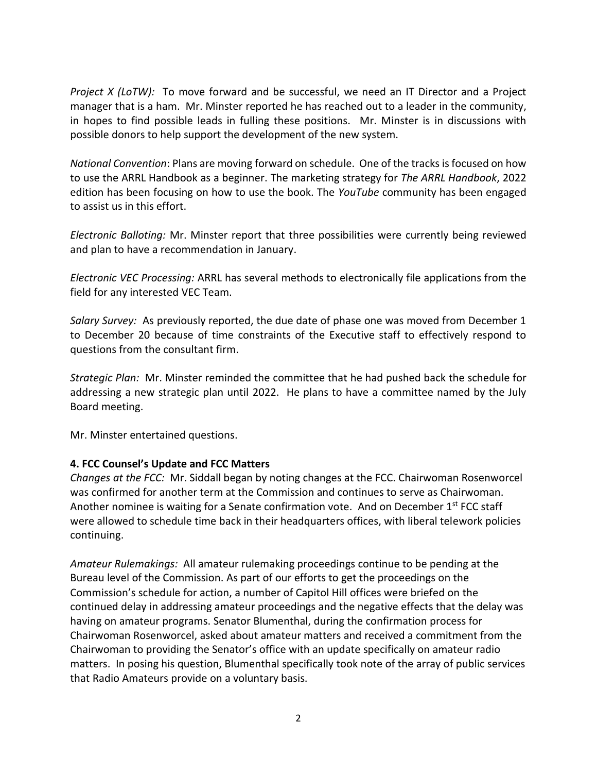*Project X (LoTW):* To move forward and be successful, we need an IT Director and a Project manager that is a ham. Mr. Minster reported he has reached out to a leader in the community, in hopes to find possible leads in fulling these positions. Mr. Minster is in discussions with possible donors to help support the development of the new system.

*National Convention*: Plans are moving forward on schedule. One of the tracks is focused on how to use the ARRL Handbook as a beginner. The marketing strategy for *The ARRL Handbook*, 2022 edition has been focusing on how to use the book. The *YouTube* community has been engaged to assist us in this effort.

*Electronic Balloting:* Mr. Minster report that three possibilities were currently being reviewed and plan to have a recommendation in January.

*Electronic VEC Processing:* ARRL has several methods to electronically file applications from the field for any interested VEC Team.

*Salary Survey:* As previously reported, the due date of phase one was moved from December 1 to December 20 because of time constraints of the Executive staff to effectively respond to questions from the consultant firm.

*Strategic Plan:* Mr. Minster reminded the committee that he had pushed back the schedule for addressing a new strategic plan until 2022. He plans to have a committee named by the July Board meeting.

Mr. Minster entertained questions.

## **4. FCC Counsel's Update and FCC Matters**

*Changes at the FCC:* Mr. Siddall began by noting changes at the FCC. Chairwoman Rosenworcel was confirmed for another term at the Commission and continues to serve as Chairwoman. Another nominee is waiting for a Senate confirmation vote. And on December  $1^{st}$  FCC staff were allowed to schedule time back in their headquarters offices, with liberal telework policies continuing.

*Amateur Rulemakings:* All amateur rulemaking proceedings continue to be pending at the Bureau level of the Commission. As part of our efforts to get the proceedings on the Commission's schedule for action, a number of Capitol Hill offices were briefed on the continued delay in addressing amateur proceedings and the negative effects that the delay was having on amateur programs. Senator Blumenthal, during the confirmation process for Chairwoman Rosenworcel, asked about amateur matters and received a commitment from the Chairwoman to providing the Senator's office with an update specifically on amateur radio matters. In posing his question, Blumenthal specifically took note of the array of public services that Radio Amateurs provide on a voluntary basis.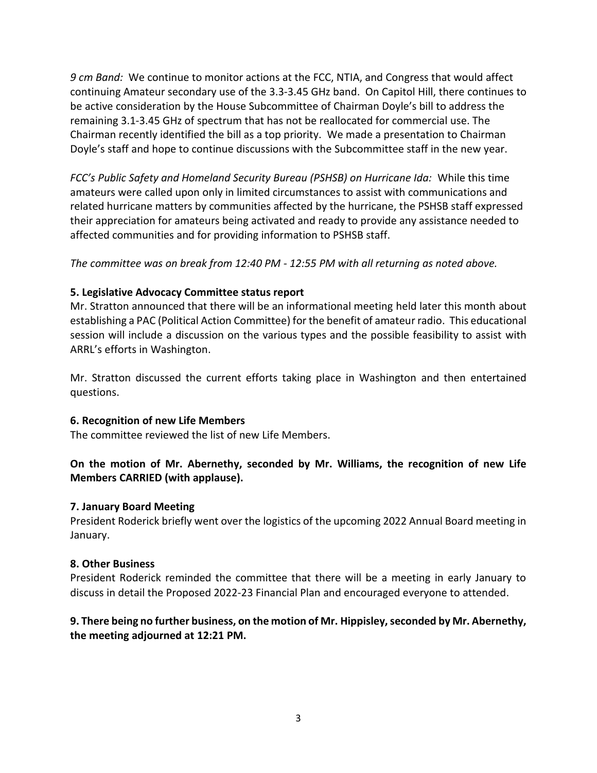*9 cm Band:* We continue to monitor actions at the FCC, NTIA, and Congress that would affect continuing Amateur secondary use of the 3.3-3.45 GHz band. On Capitol Hill, there continues to be active consideration by the House Subcommittee of Chairman Doyle's bill to address the remaining 3.1-3.45 GHz of spectrum that has not be reallocated for commercial use. The Chairman recently identified the bill as a top priority. We made a presentation to Chairman Doyle's staff and hope to continue discussions with the Subcommittee staff in the new year.

*FCC's Public Safety and Homeland Security Bureau (PSHSB) on Hurricane Ida:* While this time amateurs were called upon only in limited circumstances to assist with communications and related hurricane matters by communities affected by the hurricane, the PSHSB staff expressed their appreciation for amateurs being activated and ready to provide any assistance needed to affected communities and for providing information to PSHSB staff.

*The committee was on break from 12:40 PM - 12:55 PM with all returning as noted above.* 

### **5. Legislative Advocacy Committee status report**

Mr. Stratton announced that there will be an informational meeting held later this month about establishing a PAC (Political Action Committee) for the benefit of amateur radio. This educational session will include a discussion on the various types and the possible feasibility to assist with ARRL's efforts in Washington.

Mr. Stratton discussed the current efforts taking place in Washington and then entertained questions.

#### **6. Recognition of new Life Members**

The committee reviewed the list of new Life Members.

## **On the motion of Mr. Abernethy, seconded by Mr. Williams, the recognition of new Life Members CARRIED (with applause).**

#### **7. January Board Meeting**

President Roderick briefly went over the logistics of the upcoming 2022 Annual Board meeting in January.

#### **8. Other Business**

President Roderick reminded the committee that there will be a meeting in early January to discuss in detail the Proposed 2022-23 Financial Plan and encouraged everyone to attended.

## **9. There being no further business, on the motion of Mr. Hippisley, seconded by Mr. Abernethy, the meeting adjourned at 12:21 PM.**